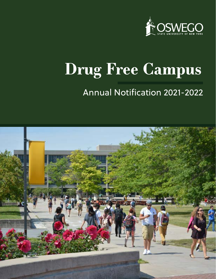

# **Drug Free Campus**

# Annual Notification 2021-2022

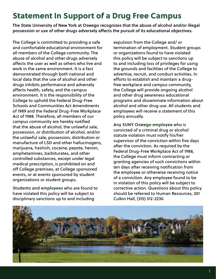# Statement In Support of a Drug Free Campus

The State University of New York at Oswego recognizes that the abuse of alcohol and/or illegal possession or use of other drugs adversely affects the pursuit of its educational objectives.

The College is committed to providing a safe and comfortable educational environment for all members of the College community. The abuse of alcohol and other drugs adversely affects the user as well as others who live and work in the same environment. It is a fact demonstrated through both national and local data that the use of alcohol and other drugs inhibits performance and adversely affects health, safety, and the campus environment. It is the responsibility of the College to uphold the Federal Drug-Free Schools and Communities Act Amendments of 1989 and the Federal Drug-Free Workplace Act of 1988. Therefore, all members of our campus community are hereby notified that the abuse of alcohol, the unlawful sale, possession, or distribution of alcohol, and/or the unlawful sale, possession, distribution or manufacture of LSD and other hallucinogens, marijuana, hashish, cocaine, peyote, heroin, amphetamines, barbiturates, and other controlled substances, except under legal medical prescription, is prohibited on and off College premises, at College sponsored events, or at events sponsored by student organizations or student groups.

**Students and employees** who are found to have violated this policy will be subject to disciplinary sanctions up to and including

expulsion from the College and/ or termination of employment. Student groups or organizations found to have violated this policy will be subject to sanctions up to and including loss of privileges for using the grounds and facilities of the College to advertise, recruit, and conduct activities. In efforts to establish and maintain a drugfree workplace and campus community, the College will provide ongoing alcohol and other drug awareness educational programs and disseminate information about alcohol and other drug use. All students and employees will receive a statement of this policy annually.

**Any SUNY Oswego employee** who is convicted of a criminal drug or alcohol statute violation must notify his/her supervisor of the conviction within five days after the conviction. As required by the Federal Drug-Free Workplace Act of 1988, the College must inform contracting or granting agencies of such convictions within ten days after receiving notification from the employee or otherwise receiving notice of a conviction. Any employee found to be in violation of this policy will be subject to corrective action. Questions about this policy should be referred to Human Resources, 201 Culkin Hall, (315) 312-2230.

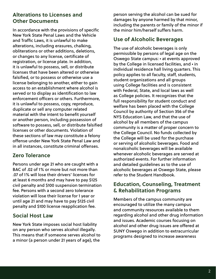### **Alterations to Licenses and Other Documents**

In accordance with the provisions of specific New York State Penal Laws and the Vehicle and Traffic Laws, it is unlawful to make alterations, including erasures, chalking, obliterations or other additions, deletions, or changes to any license, certificate of registration, or license plate. In addition, it is unlawful to possess, sell, or distribute licenses that have been altered or otherwise falsified, or to possess or otherwise use a license belonging to another, either to gain access to an establishment where alcohol is served or to display as identification to law enforcement officers or others. Furthermore, it is unlawful to possess, copy, reproduce, duplicate or sell any computer related material with the intent to benefit yourself or another person, including possession of software to possess, sell, or distribute falsified licenses or other documents. Violation of these sections of law may constitute a felony offense under New York State Penal Law and in all instances, constitute criminal offenses.

### **Zero Tolerance**

Persons under age 21 who are caught with a BAC of .02 of 1% or more but not more than .07 of 1% will lose their drivers' licenses for at least 6 months and may have to pay \$125 civil penalty and \$100 suspension termination fee. Persons with a second zero tolerance violation will lose their license for 1 year or until age 21 and may have to pay \$125 civil penalty and \$100 license reapplication fee.

### **Social Host Law**

New York State imposes social host liability on any person who serves alcohol illegally. This means that if someone serves alcohol to a minor (a person under 21 years of age), the

person serving the alcohol can be sued for damages by anyone harmed by that minor, including the parents or family of the minor if the minor him/herself suffers harm.

### **Use of Alcoholic Beverages**

The use of alcoholic beverages is only permissible by persons of legal age on the Oswego State campus: • at events approved by the College in licensed facilities, and • in individual residence hall living quarters. This policy applies to all faculty, staff, students, student organizations and all groups using College facilities and is consistent with Federal, State, and local laws as well as College policies. It recognizes that the full responsibility for student conduct and welfare has been placed with the College Council by authority of Section 356 of the NYS Education Law, and that the use of alcohol by all members of the campus community is a matter of proper concern to the College Council. No funds collected by the College will be used for the purchase or serving of alcoholic beverages. Food and nonalcoholic beverages will be available whenever alcoholic beverages are served at authorized events. For further information and detailed guidelines as to the use of alcoholic beverages at Oswego State, please refer to the Student Handbook.

### **Education, Counseling, Treatment & Rehabilitation Programs**

Members of the campus community are encouraged to utilize the many campus and community resources available to them regarding alcohol and other drug information and issues. Academic courses focusing on alcohol and other drug issues are offered at SUNY Oswego in addition to extracurricular programs designed to increase awareness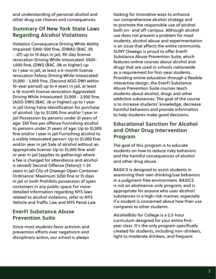and understanding of personal alcohol and other drug use choices and consequences.

### **Summary Of New York State Laws Regarding Alcohol Violations**

Violation Consequence Driving While Ability Impaired: \$300-500 fine, (DWAI) (BAC .05 - .07) up to 15 days in jail, 90-day license revocation Driving While Intoxicated: \$500- 1,000 fine, (DWI) (BAC .08 or higher) up to 1 year in jail, at least a 6-month license revocation Felony Driving While Intoxicated: \$1,000 - 5,000 fine, (Second AGG DWI within 10-year period) up to 4 years in jail, at least a 18-month license revocation Aggravated Driving While Intoxicated: \$1,000 - 2,500 fine, (AGG DWI) (BAC .18 or higher) up to 1 year in jail Using False Identification for purchase of alcohol: Up to \$1,000 fine and/or 1 year in jail Possession by persons under 21 years of age: \$50 fine per offense Furnishing alcohol to persons under 21 years of age: Up to \$1,000 fine and/or 1 year in jail Furnishing alcohol to a visibly intoxicated person: Up to \$1,000 fine and/or year in jail Sale of alcohol without an appropriate license: Up to \$1,000 fine and/ or year in jail (applies to gatherings where a fee is charged for attendance and alcohol is served) Second Offense (Felony): 1-25 years in jail City of Oswego Open Container Ordinance: Maximum \$250 fine or 15 days in jail or both Prohibits possession of open containers in any public space For more detailed information regarding NYS laws related to alcohol violations, refer to NYS Vehicle and Traffic Law and NYS Penal Law.

### **EverFi Substance Abuse Prevention Suite**

Since most students favor activism and prevention efforts over negativism and disciplinary action, our school is always

looking for innovative ways to enhance our comprehensive alcohol strategy and to promote the responsible use of alcohol both on- and off-campus. Although alcohol use does not present a problem for most students, alcohol abuse and experimentation is an issue that affects the entire community. SUNY Oswego is proud to offer EverFi Substance Abuse Prevention Suite, which features online courses about alcohol and drugs that are used in schools nationwide as a requirement for first-year students. Providing online education through a flexible interactive design, the EverFi Substance Abuse Prevention Suite courses teach students about alcohol, drugs and other addictive substances. The goal of the course is to increase students' knowledge, decrease harmful behaviors and provide information to help students make good decisions.

### **Educational Sanction for Alcohol and Other Drug Intervention Program**

The goal of this program is to educate students on how to reduce risky behaviors and the harmful consequences of alcohol and other drug abuse.

**BASICS** is designed to assist students in examining their own drinking/use behaviors in a judgment-free environment. BASICS is not an abstinence-only program, and is appropriate for anyone who uses alcohol/ substances in a high-risk manner, especially if a student is concerned about how their use compares to other students.

**AlcoholEdu** for College is a 2.5-hour curriculum designed for your entire firstyear class. It's the only program specifically created for students, including non-drinkers, light to moderate drinkers, and frequent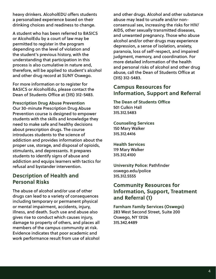heavy drinkers. AlcoholEDU offers students a personalized experience based on their drinking choices and readiness to change.

A student who has been referred to BASICS or AlcoholEdu by a court of law may be permitted to register in the program depending on the level of violation and the student's previous history, with the understanding that participation in this process is also cumulative in nature and, therefore, will be applied to student's alcohol and other drug record at SUNY Oswego.

For more information or to register for BASICS or AlcoholEdu, please contact the Dean of Students Office at (315) 312-5483.

**Prescription Drug Abuse Prevention**  Our 30-minute Prescription Drug Abuse Prevention course is designed to empower students with the skills and knowledge they need to make safe and healthy decisions about prescription drugs. The course introduces students to the science of addiction and provides information about the proper use, storage, and disposal of opioids, stimulants, and depressants. It prepares students to identify signs of abuse and addiction and equips learners with tactics for refusal and bystander intervention.

### **Description of Health and Personal Risks**

The abuse of alcohol and/or use of other drugs can lead to a variety of consequences including temporary or permanent physical or mental impairment, accidents, injury, illness, and death. Such use and abuse also gives rise to conduct which causes injury, damage to property of others, and places all members of the campus community at risk. Evidence indicates that poor academic and work performance result from use of alcohol and other drugs. Alcohol and other substance abuse may lead to unsafe and/or nonconsensual sex, increasing the risks for HIV/ AIDS, other sexually transmitted diseases, and unwanted pregnancy. Those who abuse alcohol and/or other drugs may experience depression, a sense of isolation, anxiety, paranoia, loss of self-respect, and impaired judgment, memory, and coordination. For more detailed information of the health and personal risks of alcohol and other drug abuse, call the Dean of Students Office at (315) 312-5483.

### **Campus Resources for Information, Support and Referral**

**The Dean of Students Office** 501 Culkin Hall 315.312.5483

**Counseling Services** 150 Mary Walker 315.312.4416

**Health Services** 119 Mary Walker 315.312.4100

**University Police**: Pathfinder oswego.edu/police 315.312.5555

### **Community Resources for Information, Support, Treatment and Referral (1)**

**Farnham Family Services (Oswego)** 283 West Second Street, Suite 200 Oswego, NY 13126 315.342.4489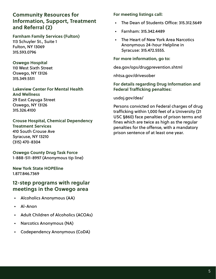### **Community Resources for Information, Support, Treatment and Referral (2)**

**Farnham Family Services (Fulton)** 113 Schuyler St., Suite 1 Fulton, NY 13069 315.593.0796

**Oswego Hospital**  110 West Sixth Street Oswego, NY 13126 315.349.5511

**Lakeview Center For Mental Health And Wellness** 29 East Cayuga Street Oswego, NY 13126 315.326.4100

**Crouse Hospital, Chemical Dependency Treatment Services** 410 South Crouse Ave Syracuse, NY 13210 (315) 470-8304

**Oswego County Drug Task Force**  1-888-511-8997 (Anonymous tip line)

**New York State HOPEline** 1.877.846.7369

### **12-step programs with regular meetings in the Oswego area**

- Alcoholics Anonymous (AA)
- Al-Anon
- Adult Children of Alcoholics (ACOAs)
- Narcotics Anonymous (NA)
- Codependency Anonymous (CoDA)

**For meeting listings call:**

- The Dean of Students Office: 315.312.5649
- Farnham: 315.342.4489
- The Heart of New York Area Narcotics Anonymous 24-hour Helpline in Syracuse: 315.472.5555.

**For more information, go to:**

dea.gov/ops/drugprevention.shtml

nhtsa.gov/drivesober

### **For details regarding Drug Information and Federal Trafficking penalties**:

usdoj.gov/dea/

Persons convicted on Federal charges of drug trafficking within 1,000 feet of a University (21 USC §860) face penalties of prison terms and fines which are twice as high as the regular penalties for the offense, with a mandatory prison sentence of at least one year.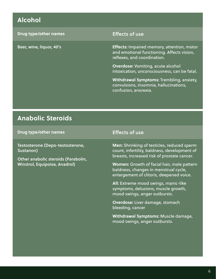# **Alcohol**

| <b>Drug type/other names</b> | <b>Effects of use</b>                                                                                                          |
|------------------------------|--------------------------------------------------------------------------------------------------------------------------------|
| Beer, wine, liquor, 40's     | <b>Effects: Impaired memory, attention, motor</b><br>and emotional functioning. Affects vision,<br>reflexes, and coordination. |
|                              | <b>Overdose: Vomiting, acute alcohol</b><br>intoxication, unconsciousness, can be fatal.                                       |
|                              | <b>Withdrawal Symptoms: Trembling, anxiety,</b><br>convulsions, insomnia, hallucinations,<br>confusion, anorexia.              |

### **Anabolic Steroids**

**Drug type/other names** Effects of use

Testosterone (Depo-testosterone, Sustanon)

Other anabolic steroids (Parabolin, Winstrol, Equipoise, Anadrol)

**Men:** Shrinking of testicles, reduced sperm count, infertility, baldness, development of breasts, increased risk of prostate cancer.

**Women:** Growth of facial hair, male pattern baldness, changes in menstrual cycle, enlargement of clitoris, deepened voice.

**All:** Extreme mood swings, manic-like symptoms, delusions, muscle growth, mood swings, anger outbursts.

**Overdose:** Liver damage, stomach bleeding, cancer

**Withdrawal Symptoms:** Muscle damage, mood swings, anger outbursts.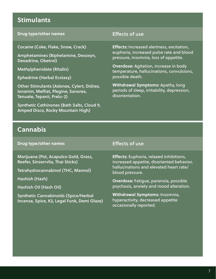### **Stimulants**

### **Drug type/other names** Effects of use

Cocaine (Coke, Flake, Snow, Crack)

Amphetamines (Biphelamine, Desoxyn, Dexadrine, Obetrol)

Methylphenidate (Ritalin)

Ephedrine (Herbal Ecstasy)

Other Stimulants (Adonex, Cylert, Didrex, Ionamin, Melfiat, Plegine, Sanorex, Tenuate, Tepanii, Prelu-2)

Synthetic Cathinones (Bath Salts, Cloud 9, Amped Disco, Rocky Mountain High)

**Effects:** Increased alertness, excitation, euphoria, increased pulse rate and blood pressure, insomnia, loss of appetite.

**Overdose:** Agitation, increase in body temperature, hallucinations, convulsions, possible death.

**Withdrawal Symptoms:** Apathy, long periods of sleep, irritability, depression, disorientation.

### **Cannabis**

**Drug type/other names** Effects of use

Marijuana (Pot, Acapulco Gold, Grass, Reefer, Sinserrvlia, Thai Sticks)

Tetrahydrocannabinol (THC, Mannol)

Hashish (Hash)

Hashish Oil (Hash Oil)

Synthetic Cannabinoids (Spice/Herbal Incense, Spice, K2, Legal Funk, Demi Glaze)

**Effects:** Euphoria, relaxed inhibitions, increased appetite, disoriented behavior, hallucinations and elevated heart rate/ blood pressure.

**Overdose:** Fatigue, paranoia, possible psychosis, anxiety and mood alteration.

**Withdrawal Symptoms:** Insomnia, hyperactivity, decreased appetite occasionally reported.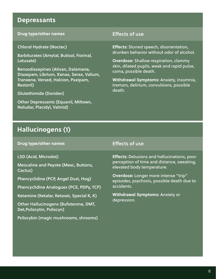### **Depressants**

### **Drug type/other names** Effects of use

Chloral Hydrate (Noctec)

Barbiturates (Amytal, Butisol, Fiorinal, Lotusate)

Benzodiazepines (Ativan, Dalamane, Diazepam, Librium, Xanax, Serax, Valium, Tranxene, Versed, Halcion, Paxipam, Restoril)

Glutethimide (Doriden)

Other Depressants (Equanil, Miltown, Noludar, Placidyl, Valmid)

**Effects:** Slurred speech, disorientation, drunken behavior without odor of alcohol.

**Overdose:** Shallow respiration, clammy skin, dilated pupils, weak and rapid pulse, coma, possible death.

**Withdrawal Symptoms:** Anxiety, insomnia, tremors, delirium, convulsions, possible death.

### **Hallucinogens (1)**

**Drug type/other names** Effects of use

LSD (Acid, Microdot)

Mescaline and Peyote (Mexc, Buttons, Cactus)

Phencyclidine (PCP, Angel Dust, Hog)

Phencyclidine Analogues (PCE, PDPy, TCP)

Ketamine (Ketalar, Ketaset, Special K, K)

Other Hallucinogens (Bufotenine, DMT, Det,Psilocytin, Psilocyn)

Psilocybin (magic mushrooms, shrooms)

**Effects:** Delusions and hallucinations, poor perception of time and distance, sweating, elevated body temperature.

**Overdose:** Longer more intense "trip" episodes, psychosis, possible death due to accidents.

**Withdrawal Symptoms:** Anxiety or depression.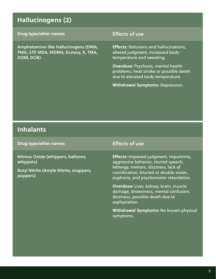# **Hallucinogens (2)**

### **Drug type/other names** Effects of use

Amphetamine-like Hallucinogens (DMA, PMA, STP, MDA, MDMA, Ecstasy, X, TMA, DOM, DOB)

**Effects:** Delusions and hallucinations, altered judgment, increased body temperature and sweating.

**Overdose:** Psychosis, mental health problems, heat stroke or possible death due to elevated body temperature.

**Withdrawal Symptoms:** Depression.

### **Inhalants**

**Drug type/other names** Effects of use

Nitrous Oxide (whippers, balloons, whippets)

Butyl Nitrite (Amyle Nitrite, snappers, poppers)

**Effects:** Impaired judgment, impulsivity, aggressive behavior, slurred speech, lethargy, tremors, dizziness, lack of coordination, blurred or double vision, euphoria, and psychomotor retardation.

**Overdose:** Liver, kidney, brain, muscle damage, drowsiness, mental confusion, dizziness, possible death due to asphyxiation.

**Withdrawal Symptoms:** No known physical symptoms.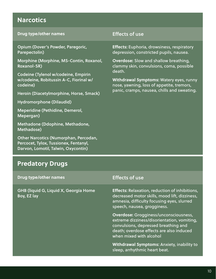### **Narcotics**

### **Drug type/other names** Effects of use

Opium (Dover's Powder, Paregoric, Parepectolin)

Morphine (Morphine, MS-Contin, Roxanol, Roxanol-SR)

Codeine (Tylenol w/codeine, Empirin w/codeine, Robitussin A-C, Fiorinal w/ codeine)

Heroin (Diacetylmorphine, Horse, Smack)

Hydromorphone (Dilaudid)

Meperidine (Pethidine, Demerol, Mepergan)

Methadone (Ddophine, Methadone, Methadose)

Other Narcotics (Numorphan, Percodan, Percocet, Tylox, Tussionex, Fentanyl, Darvon, Lomotil, Talwin, Oxycontin)

**Effects:** Euphoria, drowsiness, respiratory depression, constricted pupils, nausea.

**Overdose:** Slow and shallow breathing, clammy skin, convulsions, coma, possible death.

**Withdrawal Symptoms:** Watery eyes, runny nose, yawning, loss of appetite, tremors, panic, cramps, nausea, chills and sweating.

### **Predatory Drugs**

### **Drug type/other names** Effects of use GHB (liquid G, Liquid X, Georgia Home Boy, EZ lay **Effects:** Relaxation, reduction of inhibitions, decreased motor skills, mood lift, dizziness, amnesia, difficulty focusing eyes, slurred speech, nausea, grogginess. **Overdose:** Grogginess/unconsciousness, extreme dizziness/disorientation, vomiting, convulsions, depressed breathing and death; overdose effects are also induced when mixed with alcohol

**Withdrawal Symptoms:** Anxiety, inability to sleep, arrhythmic heart beat.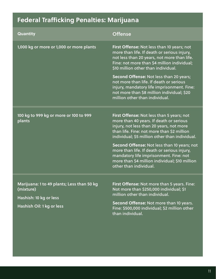# **Federal Trafficking Penalties: Marijuana**

| Offense                                                                                                                                                                                                                                                                                                                                                                                                                                              |
|------------------------------------------------------------------------------------------------------------------------------------------------------------------------------------------------------------------------------------------------------------------------------------------------------------------------------------------------------------------------------------------------------------------------------------------------------|
| First Offense: Not less than 10 years; not<br>more than life. If death or serious injury,<br>not less than 20 years, not more than life.<br>Fine: not more than \$4 million individual;<br>\$10 million other than individual.                                                                                                                                                                                                                       |
| Second Offense: Not less than 20 years;<br>not more than life. If death or serious<br>injury, mandatory life imprisonment. Fine:<br>not more than \$8 million individual; \$20<br>million other than individual.                                                                                                                                                                                                                                     |
| First Offense: Not less than 5 years; not<br>more than 40 years. If death or serious<br>injury, not less than 20 years, not more<br>than life. Fine: not more than \$2 million<br>individual; \$5 million other than individual.<br>Second Offense: Not less than 10 years; not<br>more than life. If death or serious injury,<br>mandatory life imprisonment. Fine: not<br>more than \$4 million individual; \$10 million<br>other than individual. |
|                                                                                                                                                                                                                                                                                                                                                                                                                                                      |
| First Offense: Not more than 5 years. Fine:<br>Not more than \$250,000 individual; \$1<br>million other than individual.<br>Second Offense: Not more than 10 years.<br>Fine: \$500,000 individual; \$2 million other<br>than individual.                                                                                                                                                                                                             |
|                                                                                                                                                                                                                                                                                                                                                                                                                                                      |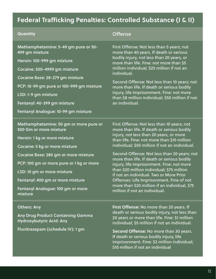# **Federal Trafficking Penalties: Controlled Substance (I & II)**

| Quantity                                                                                                                                                                                                                                                                                                                                | <b>Offense</b>                                                                                                                                                                                                                                                                                                                                                                                                                                                                                                                                                                                        |
|-----------------------------------------------------------------------------------------------------------------------------------------------------------------------------------------------------------------------------------------------------------------------------------------------------------------------------------------|-------------------------------------------------------------------------------------------------------------------------------------------------------------------------------------------------------------------------------------------------------------------------------------------------------------------------------------------------------------------------------------------------------------------------------------------------------------------------------------------------------------------------------------------------------------------------------------------------------|
| Methamphetamine: 5-49 gm pure or 50-<br>499 gm mixture<br>Heroin: 100-999 gm mixture<br>Cocaine: 500-4999 gm mixture<br>Cocaine Base: 28-279 gm mixture<br>PCP: 10-99 gm pure or 100-999 gm mixture<br>LSD: 1-9 gm mixture<br>Fentanyl: 40-399 gm mixture<br>Fentanyl Analogue: 10-99 gm mixture                                        | First Offense: Not less than 5 years; not<br>more than 40 years. If death or serious<br>bodily injury, not less than 20 years, or<br>more than life. Fine: not more than \$5<br>million individual; \$25 million if not an<br>individual.<br>Second Offense: Not less than 10 years; not<br>more than life. If death or serious bodily<br>injury, life imprisonment. Fine: not more<br>than \$8 million individual; \$50 million if not<br>an individual.                                                                                                                                             |
| Methamphetamine: 50 gm or more pure or<br>500 Gm or more mixture<br>Heroin: 1 kg or more mixture<br>Cocaine: 5 kg or more mixture<br>Cocaine Base: 280 gm or more mixture<br>PCP: 100 gm or more pure or 1 kg or more<br>LSD: 10 gm or more mixture<br>Fentanyl: 400 gm or more mixture<br>Fentanyl Analogue: 100 gm or more<br>mixture | First Offense: Not less than 10 years; not<br>more than life. If death or serious bodily<br>injury, not less than 20 years, or more<br>than life. Fine: not more than \$10 million<br>individual; \$50 million if not an individual.<br>Second Offense: Not less than 20 years; not<br>more than life. If death or serious bodily<br>injury, life imprisonment. Fine: not more<br>than \$20 million individual; \$75 million<br>if not an individual. Two or More Prior<br>Offenses: Life Imprisonment. Fine of not<br>more than \$20 million if an individual, \$75<br>million if not an individual. |
| <b>Others: Any</b><br><b>Any Drug Product Containing Gamma</b><br>Hydroxybutyric Acid: Any<br>Flunitrazepam (schedule IV): 1 gm                                                                                                                                                                                                         | First Offense: No more than 20 years. If<br>death or serious bodily injury, not less than<br>20 years or more than life. Fine: \$1 million<br>individual; \$5 million if not an individual.<br>Second Offense: No more than 30 years.<br>If death or serious bodily injury, life                                                                                                                                                                                                                                                                                                                      |

12

imprisonment. Fine: \$2 million individual;

\$10 million if not an individual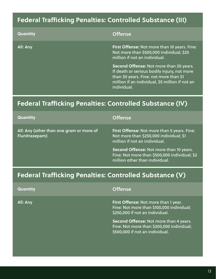# **Federal Trafficking Penalties: Controlled Substance (III)**

| <b>Quantity</b> | <b>Offense</b>                                                                                                                                                                                     |
|-----------------|----------------------------------------------------------------------------------------------------------------------------------------------------------------------------------------------------|
| All: Any        | First Offense: Not more than 10 years. Fine:<br>Not more than \$500,000 individual; \$25<br>million if not an individual.                                                                          |
|                 | Second Offense: Not more than 20 years.<br>If death or serious bodily injury, not more<br>than 30 years. Fine: not more than \$1<br>million if an individual, \$5 million if not an<br>individual. |

# **Federal Trafficking Penalties: Controlled Substance (IV)**

| <b>Quantity</b>                                            | <b>Offense</b>                                                                                                             |
|------------------------------------------------------------|----------------------------------------------------------------------------------------------------------------------------|
| All: Any (other than one gram or more of<br>Flunitrazepam) | First Offense: Not more than 5 years. Fine:<br>Not more than \$250,000 individual; \$1<br>million if not an individual.    |
|                                                            | Second Offense: Not more than 10 years.<br>Fine: Not more than \$500,000 individual; \$2<br>million other than individual. |
|                                                            |                                                                                                                            |

# **Federal Trafficking Penalties: Controlled Substance (V)**

| <b>Quantity</b> | <b>Offense</b>                                                                                                         |
|-----------------|------------------------------------------------------------------------------------------------------------------------|
| All: Any        | First Offense: Not more than 1 year.<br>Fine: Not more than \$100,000 individual;<br>\$250,000 if not an individual.   |
|                 | Second Offense: Not more than 4 years.<br>Fine: Not more than \$200,000 individual;<br>\$500,000 if not an individual. |